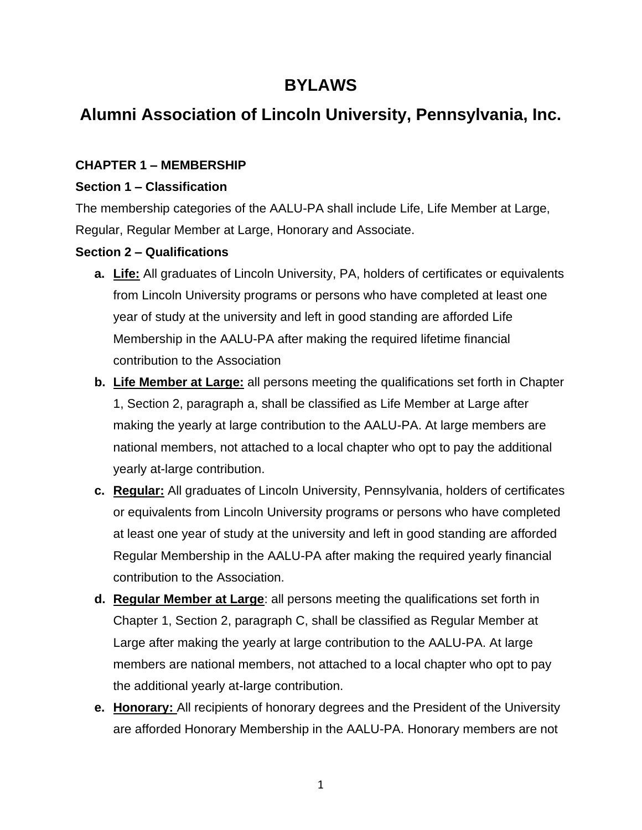# **BYLAWS**

# **Alumni Association of Lincoln University, Pennsylvania, Inc.**

# **CHAPTER 1 – MEMBERSHIP**

### **Section 1 – Classification**

The membership categories of the AALU-PA shall include Life, Life Member at Large, Regular, Regular Member at Large, Honorary and Associate.

# **Section 2 – Qualifications**

- **a. Life:** All graduates of Lincoln University, PA, holders of certificates or equivalents from Lincoln University programs or persons who have completed at least one year of study at the university and left in good standing are afforded Life Membership in the AALU-PA after making the required lifetime financial contribution to the Association
- **b. Life Member at Large:** all persons meeting the qualifications set forth in Chapter 1, Section 2, paragraph a, shall be classified as Life Member at Large after making the yearly at large contribution to the AALU-PA. At large members are national members, not attached to a local chapter who opt to pay the additional yearly at-large contribution.
- **c. Regular:** All graduates of Lincoln University, Pennsylvania, holders of certificates or equivalents from Lincoln University programs or persons who have completed at least one year of study at the university and left in good standing are afforded Regular Membership in the AALU-PA after making the required yearly financial contribution to the Association.
- **d. Regular Member at Large**: all persons meeting the qualifications set forth in Chapter 1, Section 2, paragraph C, shall be classified as Regular Member at Large after making the yearly at large contribution to the AALU-PA. At large members are national members, not attached to a local chapter who opt to pay the additional yearly at-large contribution.
- **e. Honorary:** All recipients of honorary degrees and the President of the University are afforded Honorary Membership in the AALU-PA. Honorary members are not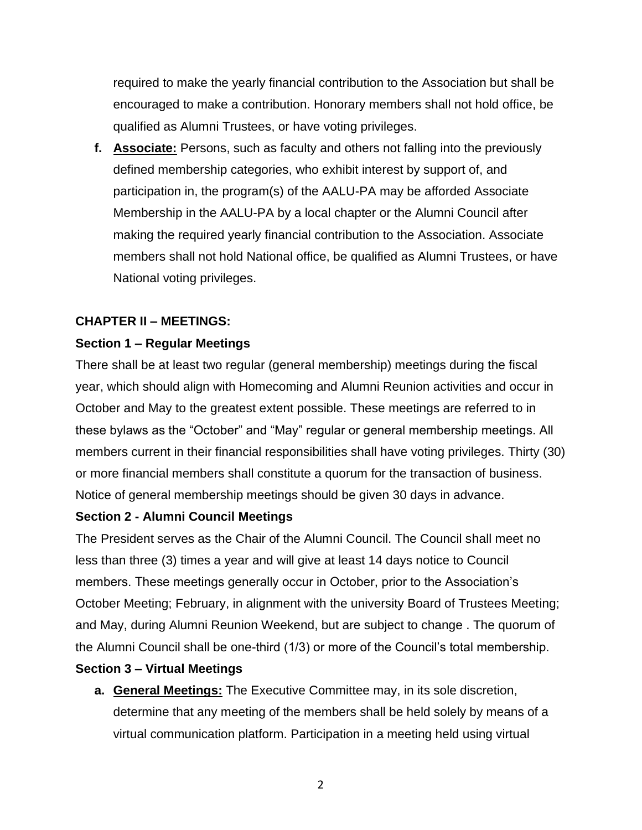required to make the yearly financial contribution to the Association but shall be encouraged to make a contribution. Honorary members shall not hold office, be qualified as Alumni Trustees, or have voting privileges.

**f. Associate:** Persons, such as faculty and others not falling into the previously defined membership categories, who exhibit interest by support of, and participation in, the program(s) of the AALU-PA may be afforded Associate Membership in the AALU-PA by a local chapter or the Alumni Council after making the required yearly financial contribution to the Association. Associate members shall not hold National office, be qualified as Alumni Trustees, or have National voting privileges.

# **CHAPTER II – MEETINGS:**

# **Section 1 – Regular Meetings**

There shall be at least two regular (general membership) meetings during the fiscal year, which should align with Homecoming and Alumni Reunion activities and occur in October and May to the greatest extent possible. These meetings are referred to in these bylaws as the "October" and "May" regular or general membership meetings. All members current in their financial responsibilities shall have voting privileges. Thirty (30) or more financial members shall constitute a quorum for the transaction of business. Notice of general membership meetings should be given 30 days in advance.

# **Section 2 - Alumni Council Meetings**

The President serves as the Chair of the Alumni Council. The Council shall meet no less than three (3) times a year and will give at least 14 days notice to Council members. These meetings generally occur in October, prior to the Association's October Meeting; February, in alignment with the university Board of Trustees Meeting; and May, during Alumni Reunion Weekend, but are subject to change . The quorum of the Alumni Council shall be one-third (1/3) or more of the Council's total membership.

# **Section 3 – Virtual Meetings**

**a. General Meetings:** The Executive Committee may, in its sole discretion, determine that any meeting of the members shall be held solely by means of a virtual communication platform. Participation in a meeting held using virtual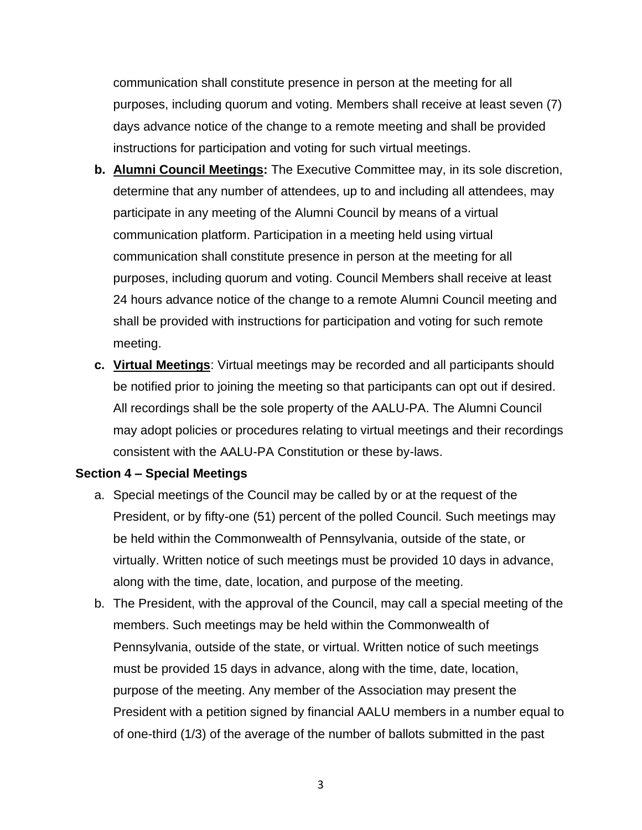communication shall constitute presence in person at the meeting for all purposes, including quorum and voting. Members shall receive at least seven (7) days advance notice of the change to a remote meeting and shall be provided instructions for participation and voting for such virtual meetings.

- **b. Alumni Council Meetings:** The Executive Committee may, in its sole discretion, determine that any number of attendees, up to and including all attendees, may participate in any meeting of the Alumni Council by means of a virtual communication platform. Participation in a meeting held using virtual communication shall constitute presence in person at the meeting for all purposes, including quorum and voting. Council Members shall receive at least 24 hours advance notice of the change to a remote Alumni Council meeting and shall be provided with instructions for participation and voting for such remote meeting.
- **c. Virtual Meetings**: Virtual meetings may be recorded and all participants should be notified prior to joining the meeting so that participants can opt out if desired. All recordings shall be the sole property of the AALU-PA. The Alumni Council may adopt policies or procedures relating to virtual meetings and their recordings consistent with the AALU-PA Constitution or these by-laws.

#### **Section 4 – Special Meetings**

- a. Special meetings of the Council may be called by or at the request of the President, or by fifty-one (51) percent of the polled Council. Such meetings may be held within the Commonwealth of Pennsylvania, outside of the state, or virtually. Written notice of such meetings must be provided 10 days in advance, along with the time, date, location, and purpose of the meeting.
- b. The President, with the approval of the Council, may call a special meeting of the members. Such meetings may be held within the Commonwealth of Pennsylvania, outside of the state, or virtual. Written notice of such meetings must be provided 15 days in advance, along with the time, date, location, purpose of the meeting. Any member of the Association may present the President with a petition signed by financial AALU members in a number equal to of one-third (1/3) of the average of the number of ballots submitted in the past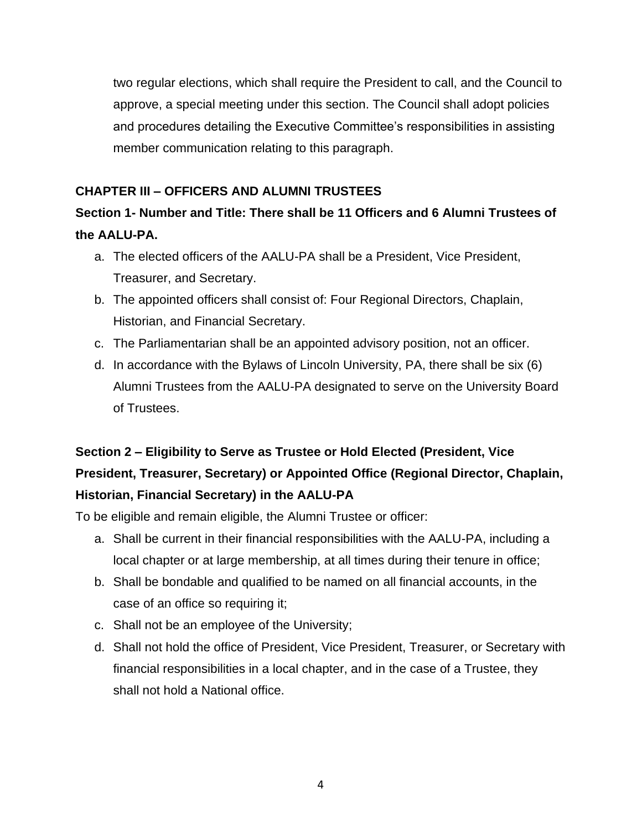two regular elections, which shall require the President to call, and the Council to approve, a special meeting under this section. The Council shall adopt policies and procedures detailing the Executive Committee's responsibilities in assisting member communication relating to this paragraph.

# **CHAPTER III – OFFICERS AND ALUMNI TRUSTEES**

# **Section 1- Number and Title: There shall be 11 Officers and 6 Alumni Trustees of the AALU-PA.**

- a. The elected officers of the AALU-PA shall be a President, Vice President, Treasurer, and Secretary.
- b. The appointed officers shall consist of: Four Regional Directors, Chaplain, Historian, and Financial Secretary.
- c. The Parliamentarian shall be an appointed advisory position, not an officer.
- d. In accordance with the Bylaws of Lincoln University, PA, there shall be six (6) Alumni Trustees from the AALU-PA designated to serve on the University Board of Trustees.

# **Section 2 – Eligibility to Serve as Trustee or Hold Elected (President, Vice President, Treasurer, Secretary) or Appointed Office (Regional Director, Chaplain, Historian, Financial Secretary) in the AALU-PA**

To be eligible and remain eligible, the Alumni Trustee or officer:

- a. Shall be current in their financial responsibilities with the AALU-PA, including a local chapter or at large membership, at all times during their tenure in office;
- b. Shall be bondable and qualified to be named on all financial accounts, in the case of an office so requiring it;
- c. Shall not be an employee of the University;
- d. Shall not hold the office of President, Vice President, Treasurer, or Secretary with financial responsibilities in a local chapter, and in the case of a Trustee, they shall not hold a National office.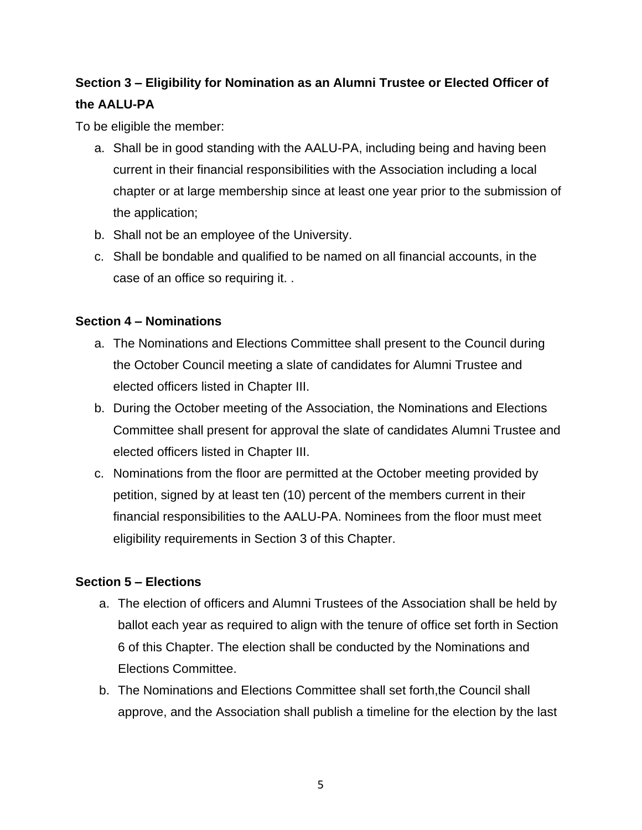# **Section 3 – Eligibility for Nomination as an Alumni Trustee or Elected Officer of the AALU-PA**

To be eligible the member:

- a. Shall be in good standing with the AALU-PA, including being and having been current in their financial responsibilities with the Association including a local chapter or at large membership since at least one year prior to the submission of the application;
- b. Shall not be an employee of the University.
- c. Shall be bondable and qualified to be named on all financial accounts, in the case of an office so requiring it. .

# **Section 4 – Nominations**

- a. The Nominations and Elections Committee shall present to the Council during the October Council meeting a slate of candidates for Alumni Trustee and elected officers listed in Chapter III.
- b. During the October meeting of the Association, the Nominations and Elections Committee shall present for approval the slate of candidates Alumni Trustee and elected officers listed in Chapter III.
- c. Nominations from the floor are permitted at the October meeting provided by petition, signed by at least ten (10) percent of the members current in their financial responsibilities to the AALU-PA. Nominees from the floor must meet eligibility requirements in Section 3 of this Chapter.

# **Section 5 – Elections**

- a. The election of officers and Alumni Trustees of the Association shall be held by ballot each year as required to align with the tenure of office set forth in Section 6 of this Chapter. The election shall be conducted by the Nominations and Elections Committee.
- b. The Nominations and Elections Committee shall set forth,the Council shall approve, and the Association shall publish a timeline for the election by the last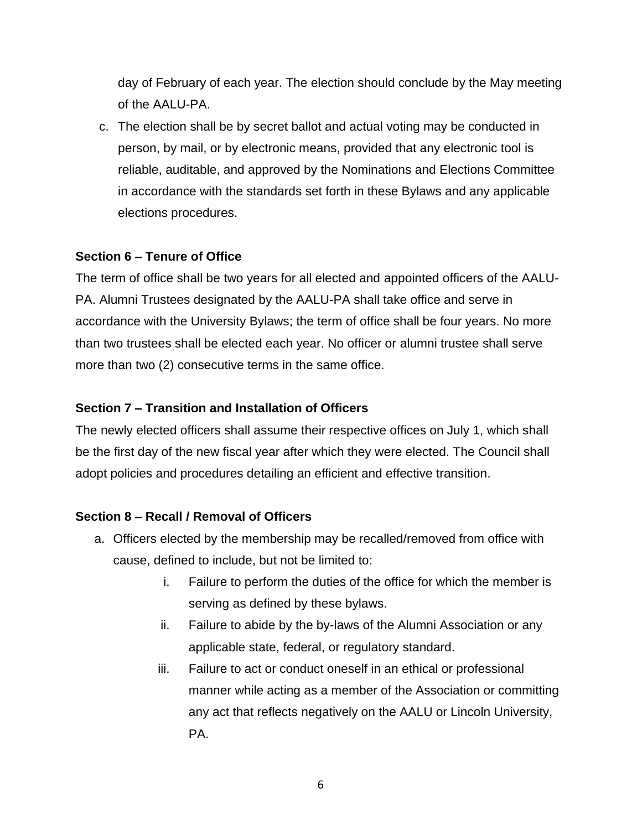day of February of each year. The election should conclude by the May meeting of the AALU-PA.

c. The election shall be by secret ballot and actual voting may be conducted in person, by mail, or by electronic means, provided that any electronic tool is reliable, auditable, and approved by the Nominations and Elections Committee in accordance with the standards set forth in these Bylaws and any applicable elections procedures.

### **Section 6 – Tenure of Office**

The term of office shall be two years for all elected and appointed officers of the AALU-PA. Alumni Trustees designated by the AALU-PA shall take office and serve in accordance with the University Bylaws; the term of office shall be four years. No more than two trustees shall be elected each year. No officer or alumni trustee shall serve more than two (2) consecutive terms in the same office.

### **Section 7 – Transition and Installation of Officers**

The newly elected officers shall assume their respective offices on July 1, which shall be the first day of the new fiscal year after which they were elected. The Council shall adopt policies and procedures detailing an efficient and effective transition.

#### **Section 8 – Recall / Removal of Officers**

- a. Officers elected by the membership may be recalled/removed from office with cause, defined to include, but not be limited to:
	- i. Failure to perform the duties of the office for which the member is serving as defined by these bylaws.
	- ii. Failure to abide by the by-laws of the Alumni Association or any applicable state, federal, or regulatory standard.
	- iii. Failure to act or conduct oneself in an ethical or professional manner while acting as a member of the Association or committing any act that reflects negatively on the AALU or Lincoln University, PA.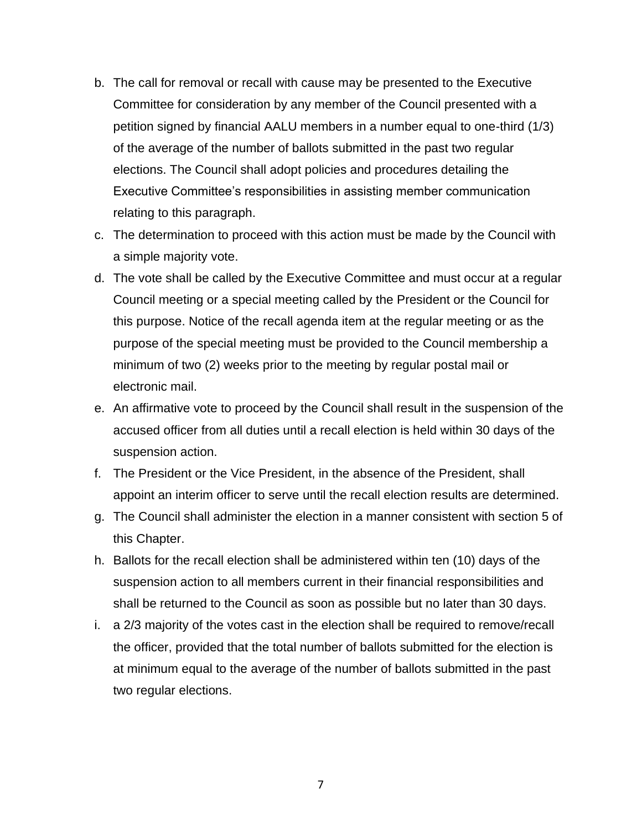- b. The call for removal or recall with cause may be presented to the Executive Committee for consideration by any member of the Council presented with a petition signed by financial AALU members in a number equal to one-third (1/3) of the average of the number of ballots submitted in the past two regular elections. The Council shall adopt policies and procedures detailing the Executive Committee's responsibilities in assisting member communication relating to this paragraph.
- c. The determination to proceed with this action must be made by the Council with a simple majority vote.
- d. The vote shall be called by the Executive Committee and must occur at a regular Council meeting or a special meeting called by the President or the Council for this purpose. Notice of the recall agenda item at the regular meeting or as the purpose of the special meeting must be provided to the Council membership a minimum of two (2) weeks prior to the meeting by regular postal mail or electronic mail.
- e. An affirmative vote to proceed by the Council shall result in the suspension of the accused officer from all duties until a recall election is held within 30 days of the suspension action.
- f. The President or the Vice President, in the absence of the President, shall appoint an interim officer to serve until the recall election results are determined.
- g. The Council shall administer the election in a manner consistent with section 5 of this Chapter.
- h. Ballots for the recall election shall be administered within ten (10) days of the suspension action to all members current in their financial responsibilities and shall be returned to the Council as soon as possible but no later than 30 days.
- i. a 2/3 majority of the votes cast in the election shall be required to remove/recall the officer, provided that the total number of ballots submitted for the election is at minimum equal to the average of the number of ballots submitted in the past two regular elections.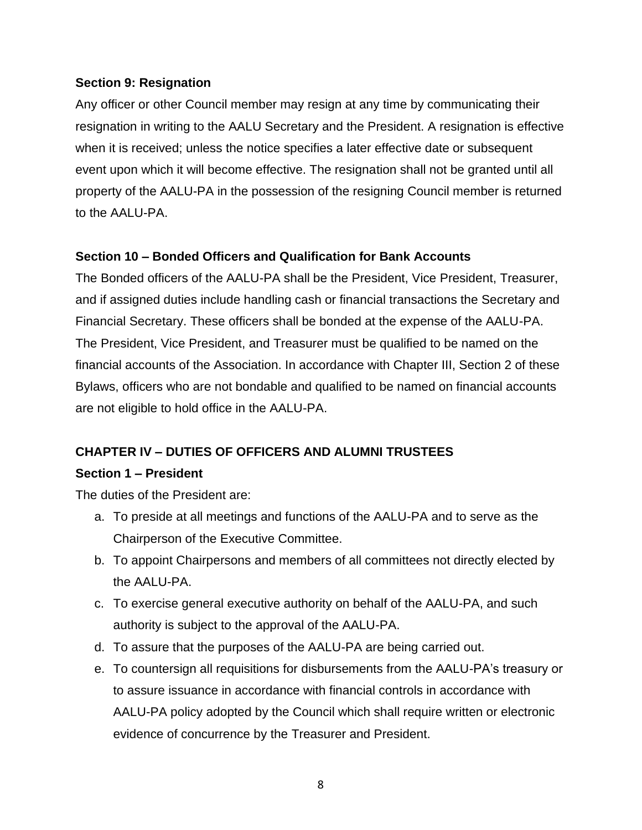### **Section 9: Resignation**

Any officer or other Council member may resign at any time by communicating their resignation in writing to the AALU Secretary and the President. A resignation is effective when it is received; unless the notice specifies a later effective date or subsequent event upon which it will become effective. The resignation shall not be granted until all property of the AALU-PA in the possession of the resigning Council member is returned to the AALU-PA.

# **Section 10 – Bonded Officers and Qualification for Bank Accounts**

The Bonded officers of the AALU-PA shall be the President, Vice President, Treasurer, and if assigned duties include handling cash or financial transactions the Secretary and Financial Secretary. These officers shall be bonded at the expense of the AALU-PA. The President, Vice President, and Treasurer must be qualified to be named on the financial accounts of the Association. In accordance with Chapter III, Section 2 of these Bylaws, officers who are not bondable and qualified to be named on financial accounts are not eligible to hold office in the AALU-PA.

# **CHAPTER IV – DUTIES OF OFFICERS AND ALUMNI TRUSTEES**

#### **Section 1 – President**

The duties of the President are:

- a. To preside at all meetings and functions of the AALU-PA and to serve as the Chairperson of the Executive Committee.
- b. To appoint Chairpersons and members of all committees not directly elected by the AALU-PA.
- c. To exercise general executive authority on behalf of the AALU-PA, and such authority is subject to the approval of the AALU-PA.
- d. To assure that the purposes of the AALU-PA are being carried out.
- e. To countersign all requisitions for disbursements from the AALU-PA's treasury or to assure issuance in accordance with financial controls in accordance with AALU-PA policy adopted by the Council which shall require written or electronic evidence of concurrence by the Treasurer and President.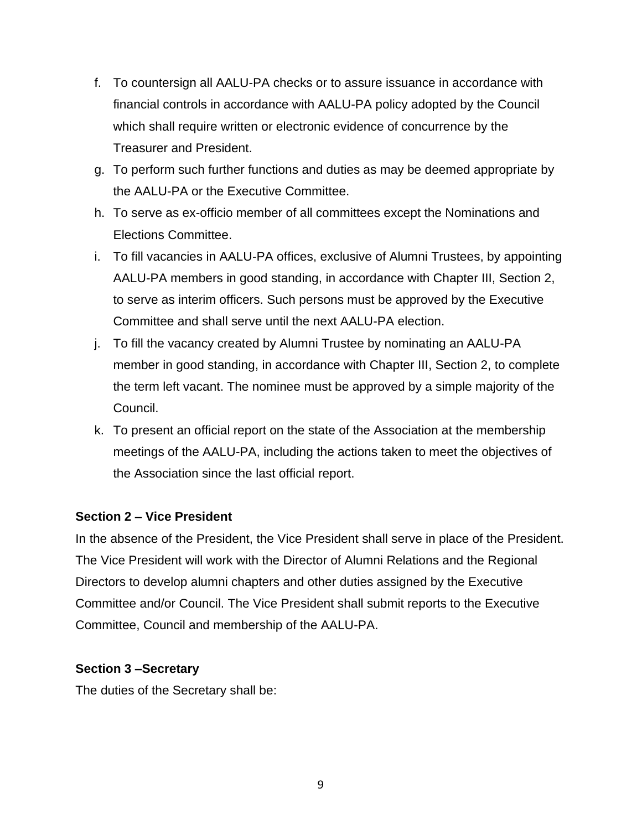- f. To countersign all AALU-PA checks or to assure issuance in accordance with financial controls in accordance with AALU-PA policy adopted by the Council which shall require written or electronic evidence of concurrence by the Treasurer and President.
- g. To perform such further functions and duties as may be deemed appropriate by the AALU-PA or the Executive Committee.
- h. To serve as ex-officio member of all committees except the Nominations and Elections Committee.
- i. To fill vacancies in AALU-PA offices, exclusive of Alumni Trustees, by appointing AALU-PA members in good standing, in accordance with Chapter III, Section 2, to serve as interim officers. Such persons must be approved by the Executive Committee and shall serve until the next AALU-PA election.
- j. To fill the vacancy created by Alumni Trustee by nominating an AALU-PA member in good standing, in accordance with Chapter III, Section 2, to complete the term left vacant. The nominee must be approved by a simple majority of the Council.
- k. To present an official report on the state of the Association at the membership meetings of the AALU-PA, including the actions taken to meet the objectives of the Association since the last official report.

# **Section 2 – Vice President**

In the absence of the President, the Vice President shall serve in place of the President. The Vice President will work with the Director of Alumni Relations and the Regional Directors to develop alumni chapters and other duties assigned by the Executive Committee and/or Council. The Vice President shall submit reports to the Executive Committee, Council and membership of the AALU-PA.

# **Section 3 –Secretary**

The duties of the Secretary shall be: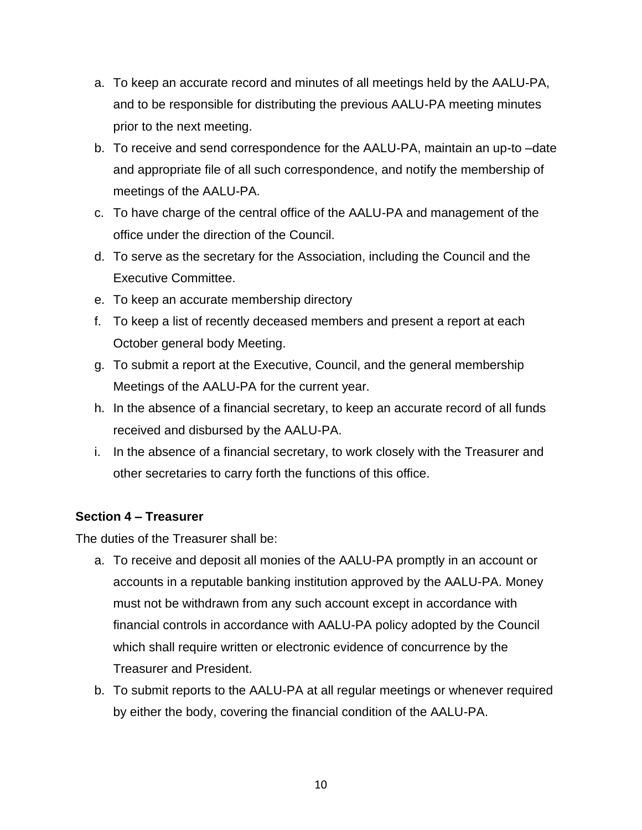- a. To keep an accurate record and minutes of all meetings held by the AALU-PA, and to be responsible for distributing the previous AALU-PA meeting minutes prior to the next meeting.
- b. To receive and send correspondence for the AALU-PA, maintain an up-to –date and appropriate file of all such correspondence, and notify the membership of meetings of the AALU-PA.
- c. To have charge of the central office of the AALU-PA and management of the office under the direction of the Council.
- d. To serve as the secretary for the Association, including the Council and the Executive Committee.
- e. To keep an accurate membership directory
- f. To keep a list of recently deceased members and present a report at each October general body Meeting.
- g. To submit a report at the Executive, Council, and the general membership Meetings of the AALU-PA for the current year.
- h. In the absence of a financial secretary, to keep an accurate record of all funds received and disbursed by the AALU-PA.
- i. In the absence of a financial secretary, to work closely with the Treasurer and other secretaries to carry forth the functions of this office.

# **Section 4 – Treasurer**

The duties of the Treasurer shall be:

- a. To receive and deposit all monies of the AALU-PA promptly in an account or accounts in a reputable banking institution approved by the AALU-PA. Money must not be withdrawn from any such account except in accordance with financial controls in accordance with AALU-PA policy adopted by the Council which shall require written or electronic evidence of concurrence by the Treasurer and President.
- b. To submit reports to the AALU-PA at all regular meetings or whenever required by either the body, covering the financial condition of the AALU-PA.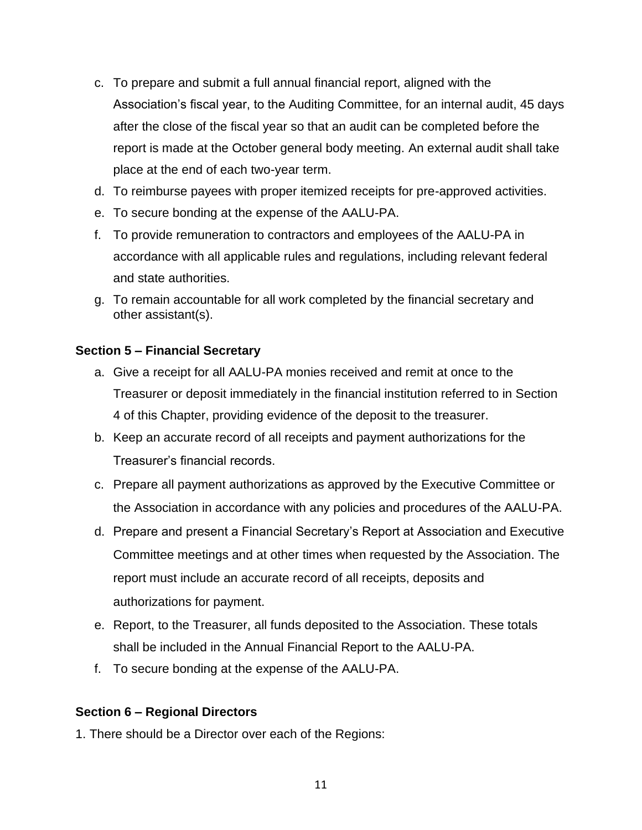- c. To prepare and submit a full annual financial report, aligned with the Association's fiscal year, to the Auditing Committee, for an internal audit, 45 days after the close of the fiscal year so that an audit can be completed before the report is made at the October general body meeting. An external audit shall take place at the end of each two-year term.
- d. To reimburse payees with proper itemized receipts for pre-approved activities.
- e. To secure bonding at the expense of the AALU-PA.
- f. To provide remuneration to contractors and employees of the AALU-PA in accordance with all applicable rules and regulations, including relevant federal and state authorities.
- g. To remain accountable for all work completed by the financial secretary and other assistant(s).

# **Section 5 – Financial Secretary**

- a. Give a receipt for all AALU-PA monies received and remit at once to the Treasurer or deposit immediately in the financial institution referred to in Section 4 of this Chapter, providing evidence of the deposit to the treasurer.
- b. Keep an accurate record of all receipts and payment authorizations for the Treasurer's financial records.
- c. Prepare all payment authorizations as approved by the Executive Committee or the Association in accordance with any policies and procedures of the AALU-PA.
- d. Prepare and present a Financial Secretary's Report at Association and Executive Committee meetings and at other times when requested by the Association. The report must include an accurate record of all receipts, deposits and authorizations for payment.
- e. Report, to the Treasurer, all funds deposited to the Association. These totals shall be included in the Annual Financial Report to the AALU-PA.
- f. To secure bonding at the expense of the AALU-PA.

# **Section 6 – Regional Directors**

1. There should be a Director over each of the Regions: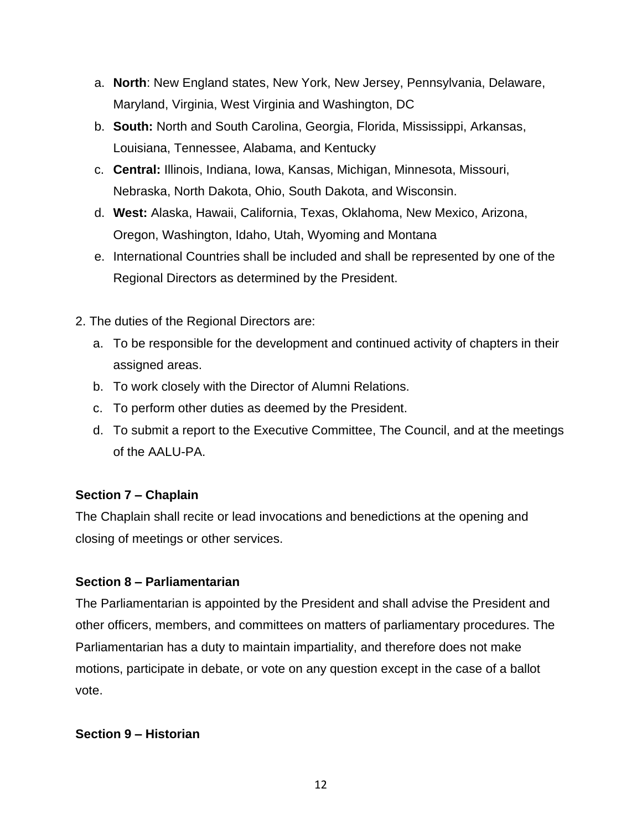- a. **North**: New England states, New York, New Jersey, Pennsylvania, Delaware, Maryland, Virginia, West Virginia and Washington, DC
- b. **South:** North and South Carolina, Georgia, Florida, Mississippi, Arkansas, Louisiana, Tennessee, Alabama, and Kentucky
- c. **Central:** Illinois, Indiana, Iowa, Kansas, Michigan, Minnesota, Missouri, Nebraska, North Dakota, Ohio, South Dakota, and Wisconsin.
- d. **West:** Alaska, Hawaii, California, Texas, Oklahoma, New Mexico, Arizona, Oregon, Washington, Idaho, Utah, Wyoming and Montana
- e. International Countries shall be included and shall be represented by one of the Regional Directors as determined by the President.
- 2. The duties of the Regional Directors are:
	- a. To be responsible for the development and continued activity of chapters in their assigned areas.
	- b. To work closely with the Director of Alumni Relations.
	- c. To perform other duties as deemed by the President.
	- d. To submit a report to the Executive Committee, The Council, and at the meetings of the AALU-PA.

# **Section 7 – Chaplain**

The Chaplain shall recite or lead invocations and benedictions at the opening and closing of meetings or other services.

# **Section 8 – Parliamentarian**

The Parliamentarian is appointed by the President and shall advise the President and other officers, members, and committees on matters of parliamentary procedures. The Parliamentarian has a duty to maintain impartiality, and therefore does not make motions, participate in debate, or vote on any question except in the case of a ballot vote.

#### **Section 9 – Historian**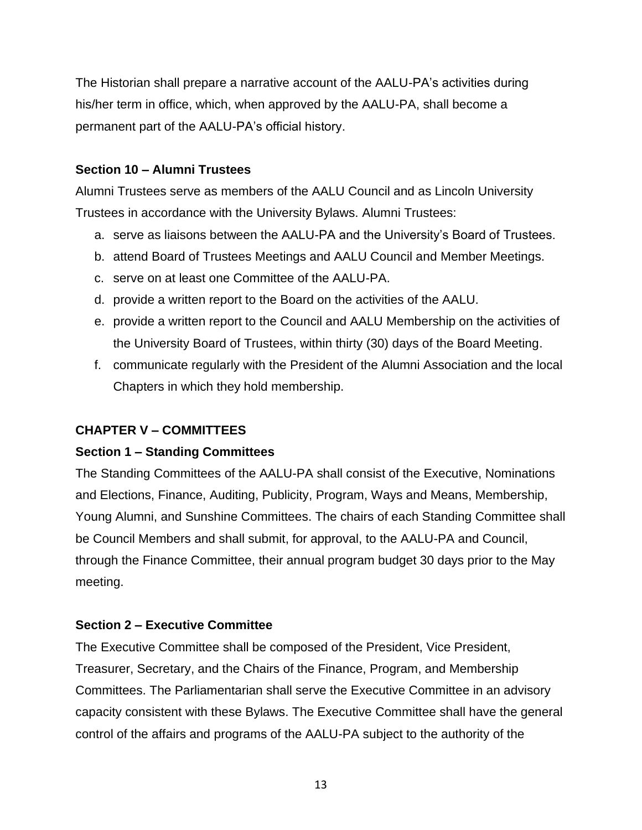The Historian shall prepare a narrative account of the AALU-PA's activities during his/her term in office, which, when approved by the AALU-PA, shall become a permanent part of the AALU-PA's official history.

# **Section 10 – Alumni Trustees**

Alumni Trustees serve as members of the AALU Council and as Lincoln University Trustees in accordance with the University Bylaws. Alumni Trustees:

- a. serve as liaisons between the AALU-PA and the University's Board of Trustees.
- b. attend Board of Trustees Meetings and AALU Council and Member Meetings.
- c. serve on at least one Committee of the AALU-PA.
- d. provide a written report to the Board on the activities of the AALU.
- e. provide a written report to the Council and AALU Membership on the activities of the University Board of Trustees, within thirty (30) days of the Board Meeting.
- f. communicate regularly with the President of the Alumni Association and the local Chapters in which they hold membership.

# **CHAPTER V – COMMITTEES**

# **Section 1 – Standing Committees**

The Standing Committees of the AALU-PA shall consist of the Executive, Nominations and Elections, Finance, Auditing, Publicity, Program, Ways and Means, Membership, Young Alumni, and Sunshine Committees. The chairs of each Standing Committee shall be Council Members and shall submit, for approval, to the AALU-PA and Council, through the Finance Committee, their annual program budget 30 days prior to the May meeting.

# **Section 2 – Executive Committee**

The Executive Committee shall be composed of the President, Vice President, Treasurer, Secretary, and the Chairs of the Finance, Program, and Membership Committees. The Parliamentarian shall serve the Executive Committee in an advisory capacity consistent with these Bylaws. The Executive Committee shall have the general control of the affairs and programs of the AALU-PA subject to the authority of the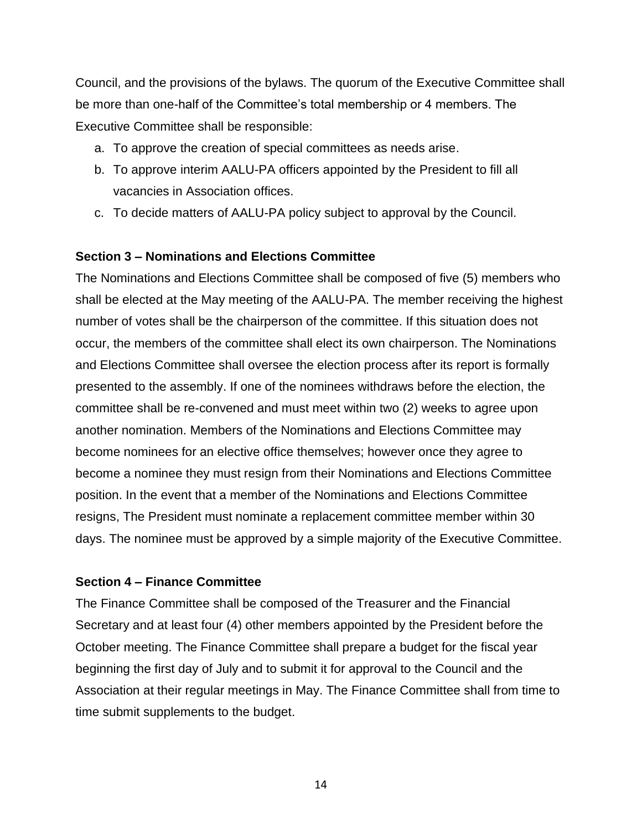Council, and the provisions of the bylaws. The quorum of the Executive Committee shall be more than one-half of the Committee's total membership or 4 members. The Executive Committee shall be responsible:

- a. To approve the creation of special committees as needs arise.
- b. To approve interim AALU-PA officers appointed by the President to fill all vacancies in Association offices.
- c. To decide matters of AALU-PA policy subject to approval by the Council.

# **Section 3 – Nominations and Elections Committee**

The Nominations and Elections Committee shall be composed of five (5) members who shall be elected at the May meeting of the AALU-PA. The member receiving the highest number of votes shall be the chairperson of the committee. If this situation does not occur, the members of the committee shall elect its own chairperson. The Nominations and Elections Committee shall oversee the election process after its report is formally presented to the assembly. If one of the nominees withdraws before the election, the committee shall be re-convened and must meet within two (2) weeks to agree upon another nomination. Members of the Nominations and Elections Committee may become nominees for an elective office themselves; however once they agree to become a nominee they must resign from their Nominations and Elections Committee position. In the event that a member of the Nominations and Elections Committee resigns, The President must nominate a replacement committee member within 30 days. The nominee must be approved by a simple majority of the Executive Committee.

#### **Section 4 – Finance Committee**

The Finance Committee shall be composed of the Treasurer and the Financial Secretary and at least four (4) other members appointed by the President before the October meeting. The Finance Committee shall prepare a budget for the fiscal year beginning the first day of July and to submit it for approval to the Council and the Association at their regular meetings in May. The Finance Committee shall from time to time submit supplements to the budget.

14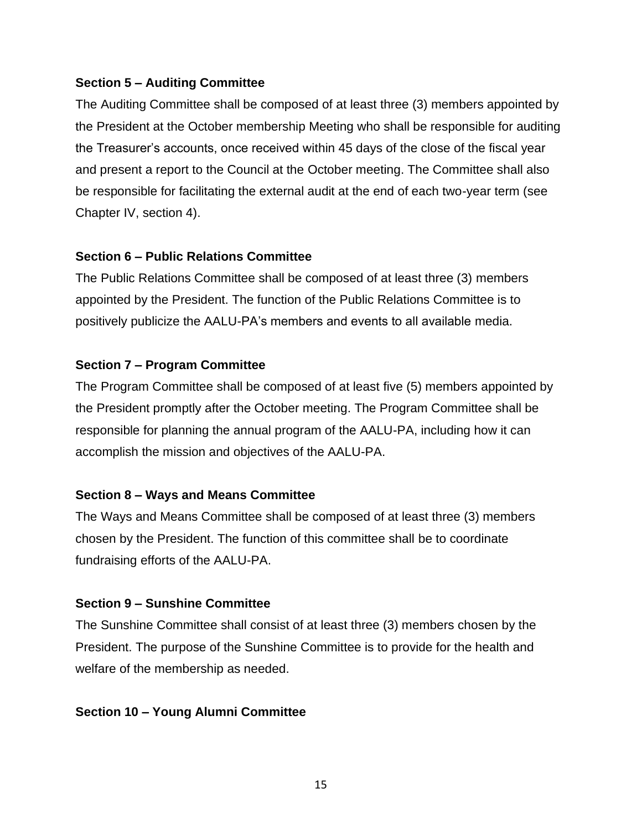### **Section 5 – Auditing Committee**

The Auditing Committee shall be composed of at least three (3) members appointed by the President at the October membership Meeting who shall be responsible for auditing the Treasurer's accounts, once received within 45 days of the close of the fiscal year and present a report to the Council at the October meeting. The Committee shall also be responsible for facilitating the external audit at the end of each two-year term (see Chapter IV, section 4).

### **Section 6 – Public Relations Committee**

The Public Relations Committee shall be composed of at least three (3) members appointed by the President. The function of the Public Relations Committee is to positively publicize the AALU-PA's members and events to all available media.

# **Section 7 – Program Committee**

The Program Committee shall be composed of at least five (5) members appointed by the President promptly after the October meeting. The Program Committee shall be responsible for planning the annual program of the AALU-PA, including how it can accomplish the mission and objectives of the AALU-PA.

# **Section 8 – Ways and Means Committee**

The Ways and Means Committee shall be composed of at least three (3) members chosen by the President. The function of this committee shall be to coordinate fundraising efforts of the AALU-PA.

# **Section 9 – Sunshine Committee**

The Sunshine Committee shall consist of at least three (3) members chosen by the President. The purpose of the Sunshine Committee is to provide for the health and welfare of the membership as needed.

# **Section 10 – Young Alumni Committee**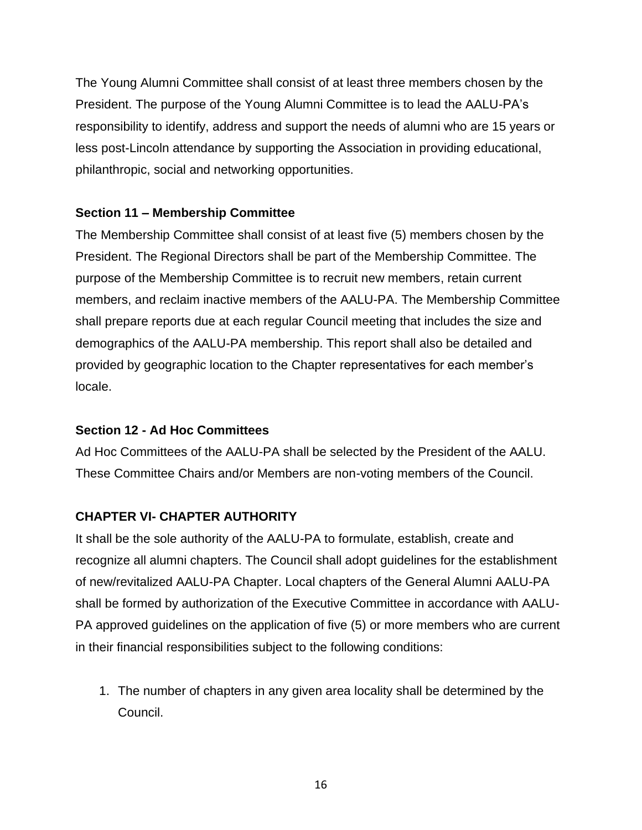The Young Alumni Committee shall consist of at least three members chosen by the President. The purpose of the Young Alumni Committee is to lead the AALU-PA's responsibility to identify, address and support the needs of alumni who are 15 years or less post-Lincoln attendance by supporting the Association in providing educational, philanthropic, social and networking opportunities.

# **Section 11 – Membership Committee**

The Membership Committee shall consist of at least five (5) members chosen by the President. The Regional Directors shall be part of the Membership Committee. The purpose of the Membership Committee is to recruit new members, retain current members, and reclaim inactive members of the AALU-PA. The Membership Committee shall prepare reports due at each regular Council meeting that includes the size and demographics of the AALU-PA membership. This report shall also be detailed and provided by geographic location to the Chapter representatives for each member's locale.

# **Section 12 - Ad Hoc Committees**

Ad Hoc Committees of the AALU-PA shall be selected by the President of the AALU. These Committee Chairs and/or Members are non-voting members of the Council.

# **CHAPTER VI- CHAPTER AUTHORITY**

It shall be the sole authority of the AALU-PA to formulate, establish, create and recognize all alumni chapters. The Council shall adopt guidelines for the establishment of new/revitalized AALU-PA Chapter. Local chapters of the General Alumni AALU-PA shall be formed by authorization of the Executive Committee in accordance with AALU-PA approved guidelines on the application of five (5) or more members who are current in their financial responsibilities subject to the following conditions:

1. The number of chapters in any given area locality shall be determined by the Council.